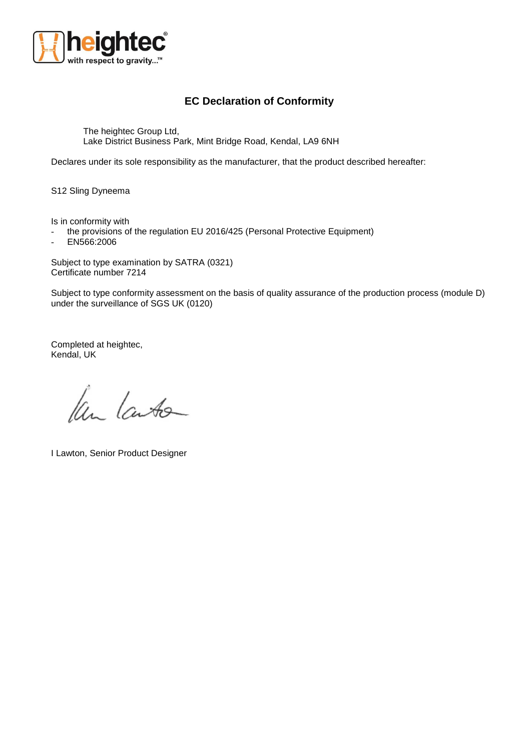

## **EC Declaration of Conformity**

The heightec Group Ltd, Lake District Business Park, Mint Bridge Road, Kendal, LA9 6NH

Declares under its sole responsibility as the manufacturer, that the product described hereafter:

S12 Sling Dyneema

Is in conformity with

- the provisions of the regulation EU 2016/425 (Personal Protective Equipment)

- EN566:2006

Subject to type examination by SATRA (0321) Certificate number 7214

Subject to type conformity assessment on the basis of quality assurance of the production process (module D) under the surveillance of SGS UK (0120)

Completed at heightec, Kendal, UK

Ken Lauto

I Lawton, Senior Product Designer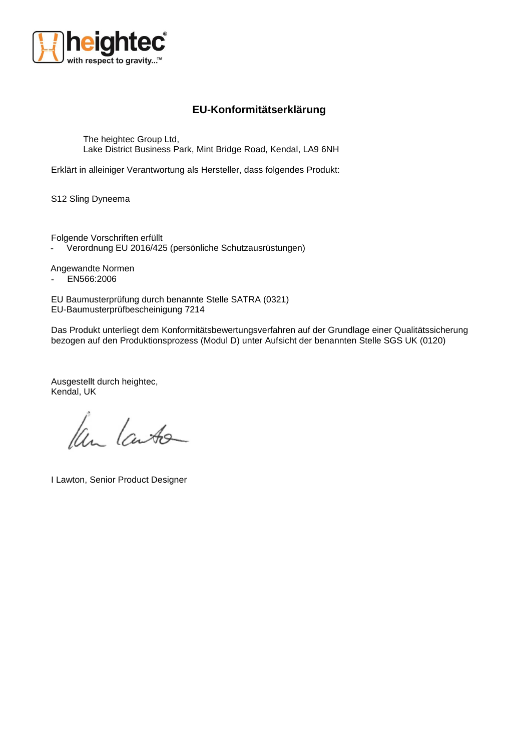

## **EU-Konformitätserklärung**

The heightec Group Ltd, Lake District Business Park, Mint Bridge Road, Kendal, LA9 6NH

Erklärt in alleiniger Verantwortung als Hersteller, dass folgendes Produkt:

S12 Sling Dyneema

Folgende Vorschriften erfüllt Verordnung EU 2016/425 (persönliche Schutzausrüstungen)

Angewandte Normen - EN566:2006

EU Baumusterprüfung durch benannte Stelle SATRA (0321) EU-Baumusterprüfbescheinigung 7214

Das Produkt unterliegt dem Konformitätsbewertungsverfahren auf der Grundlage einer Qualitätssicherung bezogen auf den Produktionsprozess (Modul D) unter Aufsicht der benannten Stelle SGS UK (0120)

Ausgestellt durch heightec, Kendal, UK

Ken Lauto

I Lawton, Senior Product Designer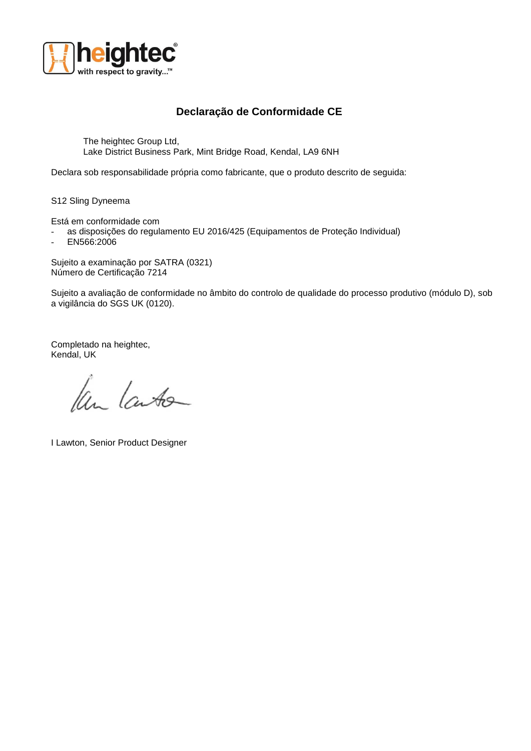

## **Declaração de Conformidade CE**

The heightec Group Ltd, Lake District Business Park, Mint Bridge Road, Kendal, LA9 6NH

Declara sob responsabilidade própria como fabricante, que o produto descrito de seguida:

S12 Sling Dyneema

Está em conformidade com

- as disposições do regulamento EU 2016/425 (Equipamentos de Proteção Individual)
- EN566:2006

Sujeito a examinação por SATRA (0321) Número de Certificação 7214

Sujeito a avaliação de conformidade no âmbito do controlo de qualidade do processo produtivo (módulo D), sob a vigilância do SGS UK (0120).

Completado na heightec, Kendal, UK

Ken Laute

I Lawton, Senior Product Designer